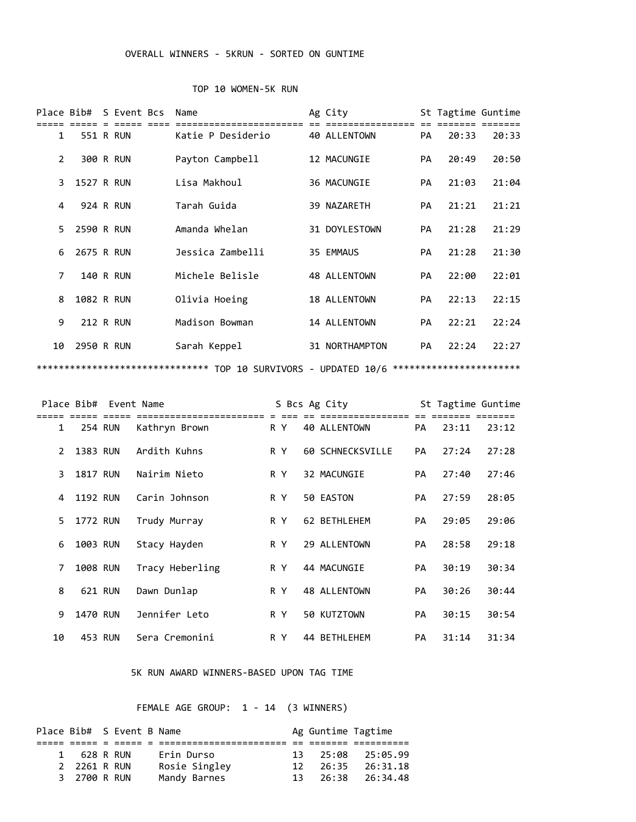## OVERALL WINNERS - 5KRUN - SORTED ON GUNTIME

## TOP 10 WOMEN-5K RUN

|    |                  | Place Bib# S Event Bcs | Name                                   | Ag City                                              |           | St Tagtime Guntime |       |
|----|------------------|------------------------|----------------------------------------|------------------------------------------------------|-----------|--------------------|-------|
|    |                  |                        |                                        |                                                      |           |                    |       |
| 1  |                  | 551 R RUN              | Katie P Desiderio                      | 40 ALLENTOWN                                         | PA        | 20:33              | 20:33 |
|    |                  |                        |                                        |                                                      |           |                    |       |
| 2  |                  | 300 R RUN              | Payton Campbell                        | 12 MACUNGIE                                          | <b>PA</b> | 20:49              | 20:50 |
|    |                  |                        |                                        |                                                      |           |                    |       |
| 3  | 1527 R RUN       |                        | Lisa Makhoul                           | 36 MACUNGIE                                          | <b>PA</b> | 21:03              | 21:04 |
|    |                  |                        |                                        |                                                      |           |                    |       |
| 4  | <b>924 R RUN</b> |                        | Tarah Guida                            | 39 NAZARETH                                          | PA        | 21:21              | 21:21 |
|    |                  |                        |                                        |                                                      |           |                    |       |
| 5  | 2590 R RUN       |                        | Amanda Whelan                          | 31 DOYLESTOWN                                        | <b>PA</b> | 21:28              | 21:29 |
|    |                  |                        |                                        |                                                      |           |                    |       |
| 6  | 2675 R RUN       |                        | Jessica Zambelli                       | 35 EMMAUS                                            | PA        | 21:28              | 21:30 |
|    |                  |                        |                                        |                                                      |           |                    |       |
| 7  |                  | <b>140 R RUN</b>       | Michele Belisle                        | 48 ALLENTOWN                                         | <b>PA</b> | 22:00              | 22:01 |
|    |                  |                        |                                        |                                                      |           |                    |       |
| 8  | 1082 R RUN       |                        | Olivia Hoeing                          | 18 ALLENTOWN                                         | PA        | 22:13              | 22:15 |
|    |                  |                        |                                        |                                                      |           |                    |       |
| 9  | <b>212 R RUN</b> |                        | Madison Bowman                         | 14 ALLENTOWN                                         | <b>PA</b> | 22:21              | 22:24 |
|    |                  |                        |                                        |                                                      |           |                    |       |
| 10 | 2950 R RUN       |                        | Sarah Keppel                           | 31 NORTHAMPTON                                       | PA        | 22:24              | 22:27 |
|    |                  |                        |                                        |                                                      |           |                    |       |
|    |                  |                        | *******************************<br>TOP | 10 SURVIVORS - UPDATED 10/6 ************************ |           |                    |       |

|    |                 | Place Bib# Event Name |                 |     | S Bcs Ag City    |           | St Tagtime Guntime |       |
|----|-----------------|-----------------------|-----------------|-----|------------------|-----------|--------------------|-------|
| 1  | 254 RUN         |                       | Kathryn Brown   | R Y | 40 ALLENTOWN     | <b>PA</b> | 23:11              | 23:12 |
| 2  | 1383 RUN        |                       | Ardith Kuhns    | R Y | 60 SCHNECKSVILLE | <b>PA</b> | 27:24              | 27:28 |
| 3  | <b>1817 RUN</b> |                       | Nairim Nieto    | R Y | 32 MACUNGIE      | <b>PA</b> | 27:40              | 27:46 |
| 4  | 1192 RUN        |                       | Carin Johnson   | R Y | 50 EASTON        | <b>PA</b> | 27:59              | 28:05 |
| 5. | 1772 RUN        |                       | Trudy Murray    | R Y | 62 BETHLEHEM     | <b>PA</b> | 29:05              | 29:06 |
| 6  | 1003 RUN        |                       | Stacy Hayden    | R Y | 29 ALLENTOWN     | <b>PA</b> | 28:58              | 29:18 |
| 7  | 1008 RUN        |                       | Tracy Heberling | R Y | 44 MACUNGIE      | <b>PA</b> | 30:19              | 30:34 |
| 8  | 621 RUN         |                       | Dawn Dunlap     | R Y | 48 ALLENTOWN     | <b>PA</b> | 30:26              | 30:44 |
| 9  | 1470 RUN        |                       | Jennifer Leto   | R Y | 50 KUTZTOWN      | <b>PA</b> | 30:15              | 30:54 |
| 10 | 453 RUN         |                       | Sera Cremonini  | R Y | 44 BETHLEHEM     | <b>PA</b> | 31:14              | 31:34 |

## 5K RUN AWARD WINNERS-BASED UPON TAG TIME

FEMALE AGE GROUP: 1 - 14 (3 WINNERS)

|              | Place Bib# S Event B Name |               | Ag Guntime Tagtime |                                 |
|--------------|---------------------------|---------------|--------------------|---------------------------------|
|              |                           |               |                    |                                 |
| 1 628 R RUN  |                           | Erin Durso    |                    | $13 \quad 25:08 \quad 25:05.99$ |
| 2 2261 R RUN |                           | Rosie Singley | 12 26:35           | 26:31.18                        |
| 3 2700 R RUN |                           | Mandy Barnes  |                    | $13 \quad 26:38 \quad 26:34.48$ |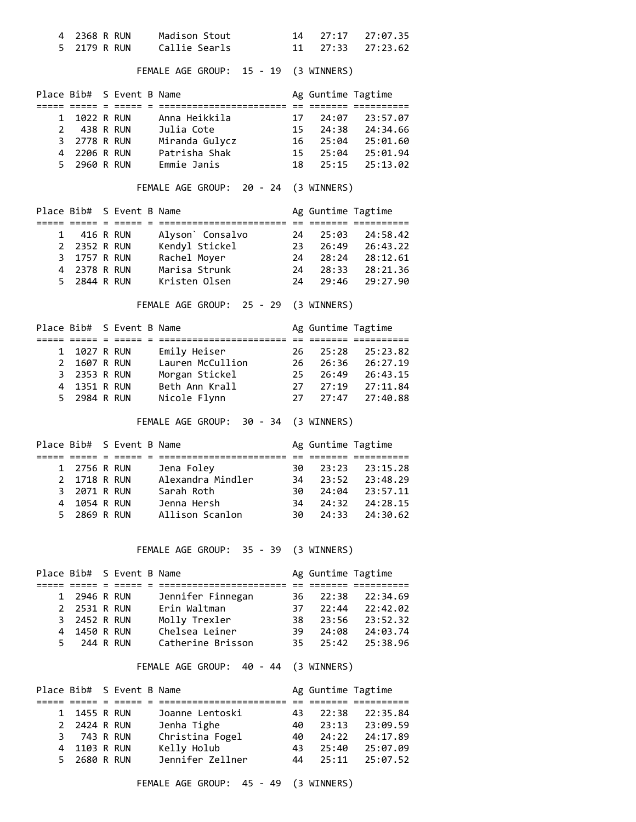| 4              | 2368 R RUN               |     |                                           | Madison Stout                     | 14       | 27:17              | 27:07.35             |
|----------------|--------------------------|-----|-------------------------------------------|-----------------------------------|----------|--------------------|----------------------|
| 5              | 2179 R RUN               |     |                                           | Callie Searls                     | 11       | 27:33              | 27:23.62             |
|                |                          |     |                                           |                                   |          |                    |                      |
|                |                          |     |                                           | FEMALE AGE GROUP:<br>15 - 19      |          | (3 WINNERS)        |                      |
|                | Place Bib#               |     | S Event B Name<br>===== = ===== = ======= |                                   |          | Ag Guntime Tagtime |                      |
| 1              | 1022 R RUN               |     |                                           | Anna Heikkila                     | 17       | 24:07              | 23:57.07             |
| 2              |                          |     | 438 R RUN                                 | Julia Cote                        | 15       | 24:38              | 24:34.66             |
| 3              | 2778 R RUN               |     |                                           | Miranda Gulycz                    | 16       | 25:04              | 25:01.60             |
| 4              | 2206 R RUN               |     |                                           | Patrisha Shak                     | 15       | 25:04              | 25:01.94             |
| 5              | 2960 R RUN               |     |                                           | Emmie Janis                       | 18       | 25:15              | 25:13.02             |
|                |                          |     |                                           | FEMALE AGE GROUP:<br>20 - 24      |          | (3 WINNERS)        |                      |
| Place Bib#     |                          |     | S Event B Name                            |                                   |          | Ag Guntime Tagtime |                      |
|                | ===== =====              | $=$ |                                           | ===== = ========================= |          |                    |                      |
| 1<br>2         | 416 R RUN                |     |                                           | Alyson` Consalvo                  | 24       | 25:03              | 24:58.42             |
| $\overline{3}$ | 2352 R RUN<br>1757 R RUN |     |                                           | Kendyl Stickel<br>Rachel Moyer    | 23<br>24 | 26:49              | 26:43.22<br>28:12.61 |
| $\overline{4}$ | 2378 R RUN               |     |                                           | Marisa Strunk                     | 24       | 28:24<br>28:33     | 28:21.36             |
| 5              | 2844 R RUN               |     |                                           | Kristen Olsen                     | 24       | 29:46              | 29:27.90             |
|                |                          |     |                                           | FEMALE AGE GROUP: 25 - 29         |          | (3 WINNERS)        |                      |
| Place Bib#     |                          |     | S Event B Name                            |                                   |          | Ag Guntime Tagtime |                      |
|                |                          |     |                                           |                                   |          |                    |                      |
| 1              | 1027 R RUN               |     |                                           | Emily Heiser                      | 26       | 25:28              | 25:23.82             |
| $\overline{2}$ | 1607 R RUN               |     |                                           | Lauren McCullion                  | 26       | 26:36              | 26:27.19             |
| 3              | 2353 R RUN               |     |                                           | Morgan Stickel                    | 25       | 26:49              | 26:43.15             |
| 4              | 1351 R RUN               |     |                                           | Beth Ann Krall                    | 27       | 27:19              | 27:11.84             |
| 5              | 2984 R RUN               |     |                                           | Nicole Flynn                      | 27       | 27:47              | 27:40.88             |

FEMALE AGE GROUP: 30 - 34 (3 WINNERS)

| Place Bib# S Event B Name |              |  |                   |      | Ag Guntime Tagtime |                |
|---------------------------|--------------|--|-------------------|------|--------------------|----------------|
|                           |              |  |                   |      |                    |                |
|                           | 1 2756 R RUN |  | Jena Foley        | 30.  |                    | 23:23 23:15.28 |
|                           | 2 1718 R RUN |  | Alexandra Mindler | 34   | 23:52              | 23:48.29       |
|                           | 3 2071 R RUN |  | Sarah Roth        | 30   |                    | 24:04 23:57.11 |
|                           | 4 1054 R RUN |  | Jenna Hersh       | 34   | 24:32              | 24:28.15       |
|                           | 5 2869 R RUN |  | Allison Scanlon   | 30 - |                    | 24:33 24:30.62 |

FEMALE AGE GROUP: 35 - 39 (3 WINNERS)

|    | Place Bib# S Event B Name |  |                   |      | Ag Guntime Tagtime |          |
|----|---------------------------|--|-------------------|------|--------------------|----------|
|    |                           |  |                   |      |                    |          |
|    | 1 2946 R RUN              |  | Jennifer Finnegan | 36 - | 22:38              | 22:34.69 |
|    | 2 2531 R RUN              |  | Erin Waltman      | 37   | 22:44              | 22:42.02 |
|    | 3 2452 R RUN              |  | Molly Trexler     | 38.  | 23:56              | 23:52.32 |
|    | 4 1450 R RUN              |  | Chelsea Leiner    | 39   | 24:08              | 24:03.74 |
| 5. | 244 R RUN                 |  | Catherine Brisson | 35.  | 25:42              | 25:38.96 |

FEMALE AGE GROUP: 40 - 44 (3 WINNERS)

|              | Place Bib# S Event B Name |                  |     | Ag Guntime Tagtime |          |
|--------------|---------------------------|------------------|-----|--------------------|----------|
|              |                           |                  |     |                    |          |
| 1 1455 R RUN |                           | Joanne Lentoski  | 43. | 22:38              | 22:35.84 |
| 2 2424 R RUN |                           | Jenha Tighe      | 40  | 23:13              | 23:09.59 |
| 3 743 R RUN  |                           | Christina Fogel  | 40. | 24:22              | 24:17.89 |
| 4 1103 R RUN |                           | Kelly Holub      | 43. | 25:40              | 25:07.09 |
| 5 2680 R RUN |                           | Jennifer Zellner |     | 44 25:11           | 25:07.52 |

FEMALE AGE GROUP: 45 - 49 (3 WINNERS)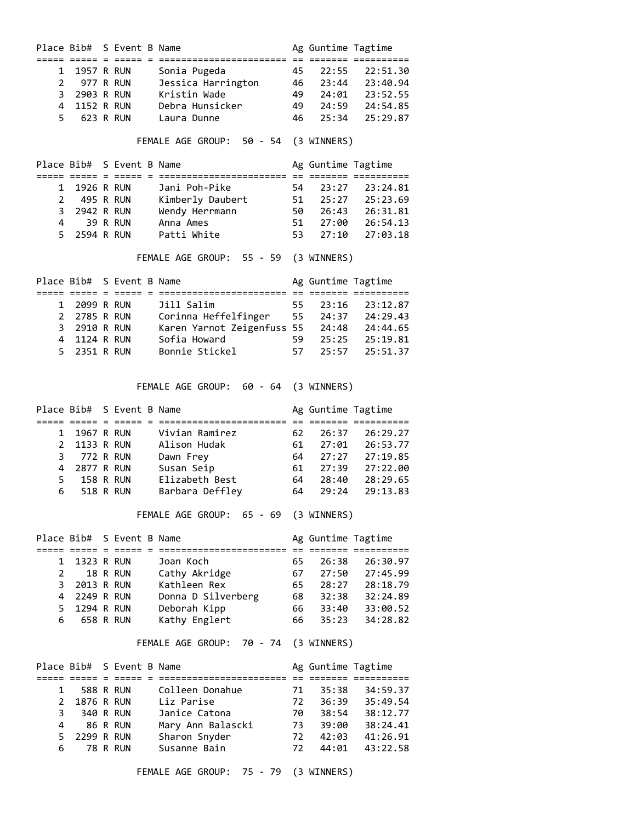|                       |                         | Place Bib# S Event B Name |                                                                          |          | Ag Guntime Tagtime |                       |
|-----------------------|-------------------------|---------------------------|--------------------------------------------------------------------------|----------|--------------------|-----------------------|
|                       |                         |                           |                                                                          |          |                    |                       |
| 1                     | 1957 R RUN              |                           | Sonia Pugeda                                                             | 45       | 22:55              | 22:51.30              |
| $\mathbf{2}^{\prime}$ | 977 R RUN               |                           | Jessica Harrington                                                       | 46       | 23:44              | 23:40.94              |
| 3                     | 2903 R RUN              |                           | Kristin Wade                                                             | 49       | 24:01              | 23:52.55              |
| 4                     | 1152 R RUN              |                           | Debra Hunsicker                                                          | 49       | 24:59              | 24:54.85              |
| 5                     |                         | 623 R RUN                 | Laura Dunne                                                              | 46       | 25:34              | 25:29.87              |
|                       |                         |                           | FEMALE AGE GROUP: 50 - 54                                                |          | (3 WINNERS)        |                       |
|                       |                         |                           |                                                                          |          |                    |                       |
|                       |                         | Place Bib# S Event B Name |                                                                          |          | Ag Guntime Tagtime |                       |
|                       |                         |                           |                                                                          |          |                    |                       |
| 1<br>2                | 1926 R RUN<br>495 R RUN |                           | Jani Poh-Pike                                                            | 54<br>51 | 23:27<br>25:27     | 23:24.81              |
| 3                     | 2942 R RUN              |                           | Kimberly Daubert<br>Wendy Herrmann                                       | 50       | 26:43              | 25:23.69<br>26:31.81  |
| 4                     |                         | 39 R RUN                  | Anna Ames                                                                | 51       | 27:00              | 26:54.13              |
| 5                     | 2594 R RUN              |                           | Patti White                                                              | 53       | 27:10              | 27:03.18              |
|                       |                         |                           |                                                                          |          |                    |                       |
|                       |                         |                           | FEMALE AGE GROUP: 55 - 59                                                |          | (3 WINNERS)        |                       |
|                       |                         | Place Bib# S Event B Name |                                                                          |          | Ag Guntime Tagtime |                       |
| 1                     |                         | 2099 R RUN                | Jill Salim                                                               | 55       | 23:16              | 23:12.87              |
| $\mathbf{2}^{\prime}$ | 2785 R RUN              |                           |                                                                          |          |                    | 24:29.43              |
| 3                     | 2910 R RUN              |                           |                                                                          |          | 24:37<br>24:48     | 24:44.65              |
| 4                     | 1124 R RUN              |                           | Corinna Heffelfinger 55<br>Karen Yarnot Zeigenfuss 55<br>Sofia Howard 59 |          | 25:25              | 25:19.81              |
| 5                     | 2351 R RUN              |                           | Bonnie Stickel                                                           | 57       | 25:57              | 25:51.37              |
|                       |                         |                           |                                                                          |          |                    |                       |
|                       |                         |                           | FEMALE AGE GROUP: 60 - 64                                                |          | (3 WINNERS)        |                       |
|                       |                         | Place Bib# S Event B Name |                                                                          |          | Ag Guntime Tagtime |                       |
|                       |                         |                           |                                                                          |          |                    |                       |
| 1                     |                         | 1967 R RUN                | Vivian Ramirez                                                           | 62       | 26:37              | 26:29.27              |
| $\overline{2}$        | 1133 R RUN              |                           | Alison Hudak                                                             | 61       | 27:01              | 26:53.77              |
| 3                     | 772 R RUN               |                           | Dawn Frey                                                                | 64       | 27:27              | 27:19.85              |
| 4                     | 2877 R RUN              |                           | Susan Seip                                                               | 61       | 27:39              | 27:22.00              |
| 5                     |                         | <b>158 R RUN</b>          | Elizabeth Best                                                           | 64       | 28:40              | 28:29.65              |
| 6                     |                         | 518 R RUN                 | Barbara Deffley                                                          | 64       | 29:24              | 29:13.83              |
|                       |                         |                           | FEMALE AGE GROUP:<br>65 - 69 (3 WINNERS)                                 |          |                    |                       |
|                       |                         | Place Bib# S Event B Name |                                                                          |          | Ag Guntime Tagtime |                       |
|                       |                         |                           |                                                                          |          | 26:38              | == ======= ========== |
| 1<br>$\overline{2}$   | 1323 R RUN              |                           | Joan Koch                                                                | 65       |                    | 26:30.97              |
| 3                     | 2013 R RUN              | 18 R RUN                  | Cathy Akridge<br>Kathleen Rex                                            | 67<br>65 | 27:50              | 27:45.99              |
| 4                     |                         |                           | Donna D Silverberg                                                       | 68       | 28:27              | 28:18.79              |
| 5                     | 2249 R RUN              |                           |                                                                          | 66       | 32:38              | 32:24.89              |
| 6                     | 1294 R RUN              | <b>658 R RUN</b>          | Deborah Kipp<br>Kathy Englert                                            | 66       | 33:40<br>35:23     | 33:00.52<br>34:28.82  |
|                       |                         |                           | FEMALE AGE GROUP: 70 - 74                                                |          | (3 WINNERS)        |                       |
|                       |                         |                           |                                                                          |          |                    |                       |
|                       |                         | Place Bib# S Event B Name |                                                                          |          | Ag Guntime Tagtime |                       |
|                       |                         | 588 R RUN                 | Colleen Donahue                                                          | 71       |                    |                       |
| 1                     |                         |                           |                                                                          |          | 35:38              | 34:59.37              |
| 2<br>3                | 1876 R RUN              | 340 R RUN                 | Liz Parise<br>Janice Catona                                              | 72<br>70 | 36:39<br>38:54     | 35:49.54<br>38:12.77  |
| 4                     |                         |                           |                                                                          | 73       | 39:00              |                       |
|                       |                         | 86 R RUN                  | Mary Ann Balascki                                                        | 72       |                    | 38:24.41              |
| 5<br>6                | 2299 R RUN              | <b>78 R RUN</b>           | Sharon Snyder<br>Susanne Bain                                            | 72       | 42:03<br>44:01     | 41:26.91              |
|                       |                         |                           |                                                                          |          |                    | 43:22.58              |
|                       |                         |                           | FEMALE AGE GROUP:<br>75 - 79                                             |          | (3 WINNERS)        |                       |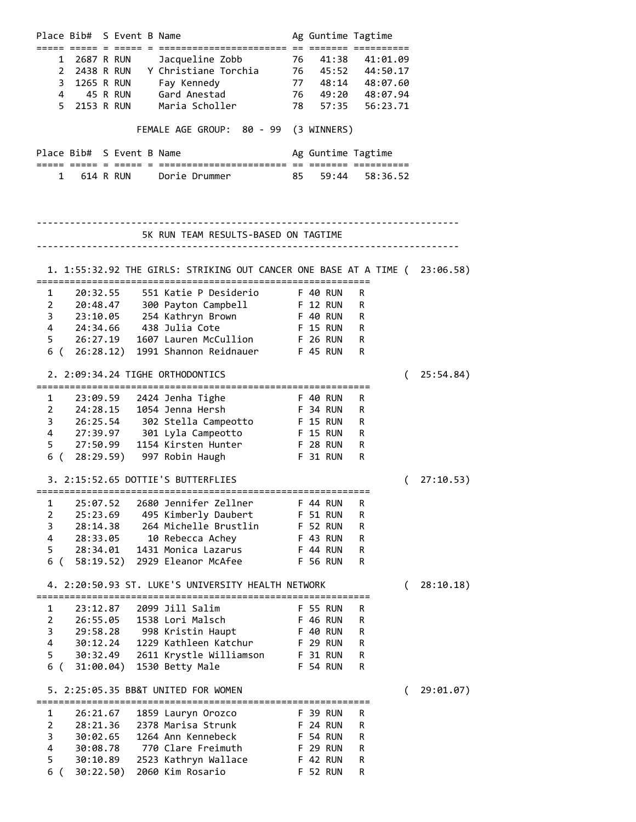| Place Bib# S Event B Name                                                                                                                                           | Ag Guntime Tagtime                                 |
|---------------------------------------------------------------------------------------------------------------------------------------------------------------------|----------------------------------------------------|
|                                                                                                                                                                     |                                                    |
| 2687 R RUN<br>Jacqueline Zobb<br>1                                                                                                                                  | 76 41:38 41:01.09                                  |
| $\mathbf{2}^{\prime}$<br>2438 R RUN<br>Y Christiane Torchia                                                                                                         | 76 45:52 44:50.17                                  |
| 3<br>1265 R RUN<br>Fay Kennedy                                                                                                                                      |                                                    |
| 4<br>45 R RUN<br>Gard Anestad                                                                                                                                       | $77$ $48:14$ $48:07.60$<br>$76$ $49:20$ $48:07.94$ |
| 5<br>2153 R RUN<br>Maria Scholler                                                                                                                                   | 78 57:35 56:23.71                                  |
| FEMALE AGE GROUP: 80 - 99 (3 WINNERS)                                                                                                                               |                                                    |
| Place Bib# S Event B Name                                                                                                                                           | Ag Guntime Tagtime                                 |
|                                                                                                                                                                     |                                                    |
| 614 R RUN Dorie Drummer<br>85<br>1                                                                                                                                  | 59:44 58:36.52                                     |
|                                                                                                                                                                     |                                                    |
| 5K RUN TEAM RESULTS-BASED ON TAGTIME                                                                                                                                |                                                    |
|                                                                                                                                                                     |                                                    |
| 1. 1:55:32.92 THE GIRLS: STRIKING OUT CANCER ONE BASE AT A TIME ( 23:06.58)                                                                                         |                                                    |
|                                                                                                                                                                     | R                                                  |
| 1 20:32.55 551 Katie P Desiderio F 40 RUN<br>2 20:48.47 300 Payton Campbell F 12 RUN<br>3 23:10.05 254 Kathryn Brown F 40 RUN<br>4 24:34.66 438 Julia Cote F 15 RUN | R                                                  |
|                                                                                                                                                                     | R                                                  |
|                                                                                                                                                                     | <b>F 15 RUN</b><br>R                               |
| 26:27.19<br>1607 Lauren McCullion F 26 RUN<br>5                                                                                                                     |                                                    |
| 1991 Shannon Reidnauer F 45 RUN                                                                                                                                     | R<br>R                                             |
| 6(26:28.12)                                                                                                                                                         |                                                    |
| 2. 2:09:34.24 TIGHE ORTHODONTICS                                                                                                                                    | 25:54.84)<br>€                                     |
| 1                                                                                                                                                                   | R                                                  |
| $\mathbf{2}^{\prime}$                                                                                                                                               | R                                                  |
| 26:25.54 302 Stella Campeotto F 15 RUN<br>3                                                                                                                         | R                                                  |
| 4 27:39.97 301 Lyla Campeotto F 15 RUN                                                                                                                              |                                                    |
| 1154 Kirsten Hunter F 28 RUN<br>27:50.99                                                                                                                            | R<br>R                                             |
| 5<br>6 (<br>28:29.59) 997 Robin Haugh F 31 RUN                                                                                                                      | R                                                  |
|                                                                                                                                                                     |                                                    |
| 3. 2:15:52.65 DOTTIE'S BUTTERFLIES                                                                                                                                  | 27:10.53)<br>(                                     |
| 25:07.52<br>2680 Jennifer Zellner<br>1                                                                                                                              | R<br><b>F 44 RUN</b>                               |
| 2<br>25:23.69<br>495 Kimberly Daubert                                                                                                                               | F 51 RUN<br>R                                      |
| 264 Michelle Brustlin<br>3<br>28:14.38                                                                                                                              | <b>F 52 RUN</b><br>R                               |
| 4<br>10 Rebecca Achey<br>28:33.05                                                                                                                                   | F 43 RUN<br>R                                      |
| 5<br>1431 Monica Lazarus<br>28:34.01                                                                                                                                | <b>F 44 RUN</b><br>R                               |
| 6 (<br>2929 Eleanor McAfee<br>58:19.52)                                                                                                                             | <b>F 56 RUN</b><br>R                               |
| 4. 2:20:50.93 ST. LUKE'S UNIVERSITY HEALTH NETWORK                                                                                                                  | 28:10.18)<br>(                                     |
|                                                                                                                                                                     |                                                    |
| 2099 Jill Salim<br>23:12.87<br>1                                                                                                                                    | <b>F 55 RUN</b><br>R                               |
| $\overline{2}$<br>26:55.05<br>1538 Lori Malsch                                                                                                                      | <b>F 46 RUN</b><br>R                               |
| 3<br>29:58.28 998 Kristin Haupt                                                                                                                                     | <b>F 40 RUN</b><br>R                               |
| $\overline{4}$<br>1229 Kathleen Katchur<br>30:12.24                                                                                                                 | R<br><b>F 29 RUN</b>                               |
| 5<br>30:32.49<br>2611 Krystle Williamson                                                                                                                            | F 31 RUN<br>R                                      |
| 6 (<br>1530 Betty Male<br>31:00.04)                                                                                                                                 | <b>F 54 RUN</b><br>R                               |
| 5. 2:25:05.35 BB&T UNITED FOR WOMEN                                                                                                                                 | 29:01.07)<br>$\overline{ }$                        |
|                                                                                                                                                                     |                                                    |
| 1<br>26:21.67<br>1859 Lauryn Orozco                                                                                                                                 | <b>F 39 RUN</b><br>R                               |
| 2<br>28:21.36<br>2378 Marisa Strunk                                                                                                                                 | <b>F 24 RUN</b><br>R                               |
| 3<br>1264 Ann Kennebeck<br>30:02.65                                                                                                                                 | R<br><b>F 54 RUN</b>                               |
| $\overline{4}$<br>770 Clare Freimuth<br>30:08.78                                                                                                                    | <b>F 29 RUN</b><br>R                               |
| 5<br>2523 Kathryn Wallace<br>30:10.89                                                                                                                               | <b>F 42 RUN</b><br>R                               |
| 6 (<br>30:22.50)<br>2060 Kim Rosario                                                                                                                                | <b>F 52 RUN</b><br>R                               |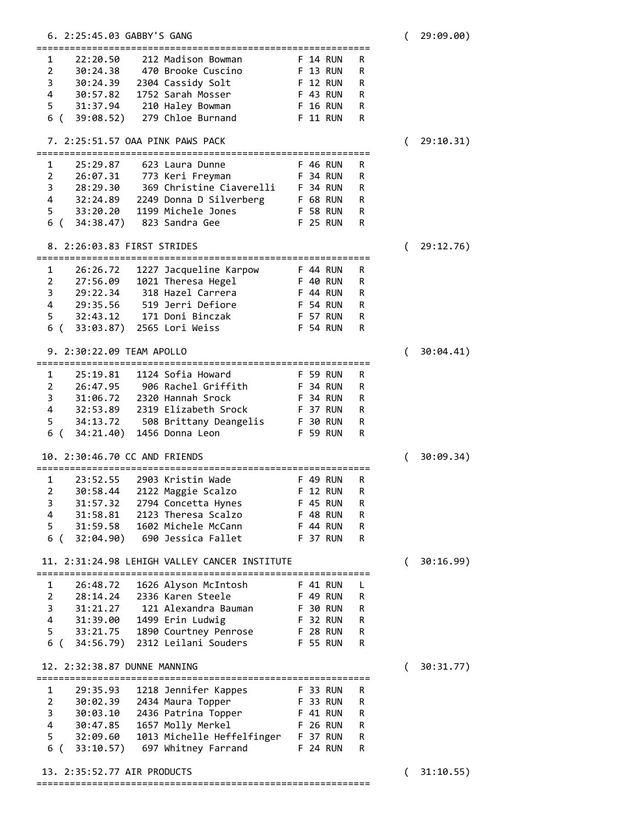| 6. 2:25:45.03 GABBY'S GANG                                                         |                      |        | € | 29:09.00) |
|------------------------------------------------------------------------------------|----------------------|--------|---|-----------|
| 212 Madison Bowman                                                                 |                      |        |   |           |
| 22:20.50<br>1<br>2<br>30:24.38<br>470 Brooke Cuscino                               | F 14 RUN<br>F 13 RUN | R<br>R |   |           |
| 3<br>30:24.39<br>2304 Cassidy Solt                                                 | F 12 RUN             | R      |   |           |
| 4<br>1752 Sarah Mosser<br>30:57.82                                                 | F 43 RUN             | R      |   |           |
| 5<br>31:37.94                                                                      |                      | R      |   |           |
| 210 Haley Bowman                                                                   | F 16 RUN             |        |   |           |
| 6 (<br>279 Chloe Burnand<br>39:08.52)                                              | F 11 RUN             | R      |   |           |
| 7. 2:25:51.57 OAA PINK PAWS PACK                                                   |                      |        |   | 29:10.31) |
| 25:29.87<br>623 Laura Dunne<br>1                                                   | F 46 RUN             | R      |   |           |
| 2<br>773 Keri Freyman<br>26:07.31                                                  | <b>F 34 RUN</b>      | R      |   |           |
| 3<br>28:29.30 369 Christine Ciaverelli                                             | F 34 RUN             | R      |   |           |
| 4<br>2249 Donna D Silverberg<br>32:24.89                                           | F 68 RUN             | R      |   |           |
| 5<br>33:20.20<br>1199 Michele Jones                                                | F 58 RUN             | R      |   |           |
| 34:38.47) 823 Sandra Gee<br>6 (                                                    | F 25 RUN             | R      |   |           |
| 8. 2:26:03.83 FIRST STRIDES                                                        |                      |        | € | 29:12.76) |
|                                                                                    |                      |        |   |           |
| 1227 Jacqueline Karpow<br>1<br>26:26.72                                            | <b>F 44 RUN</b>      | R      |   |           |
| $\overline{2}$<br>1021 Theresa Hegel<br>27:56.09                                   | F 40 RUN             | R      |   |           |
| 3<br>318 Hazel Carrera<br>29:22.34                                                 | <b>F 44 RUN</b>      | R      |   |           |
| 4<br>519 Jerri Defiore<br>29:35.56                                                 | F 54 RUN             | R      |   |           |
| 171 Doni Binczak<br>5<br>32:43.12                                                  | F 57 RUN             | R      |   |           |
| 33:03.87)<br>2565 Lori Weiss<br>6 (                                                | F 54 RUN             | R      |   |           |
|                                                                                    |                      |        |   |           |
| 9. 2:30:22.09 TEAM APOLLO                                                          |                      |        |   | 30:04.41) |
| 1124 Sofia Howard<br>1<br>25:19.81                                                 | <b>F 59 RUN</b>      | R      |   |           |
| $\overline{2}$<br>26:47.95<br>906 Rachel Griffith                                  | F 34 RUN             | R      |   |           |
| 3<br>31:06.72<br>2320 Hannah Srock                                                 | F 34 RUN             | R      |   |           |
| 4<br>32:53.89<br>2319 Elizabeth Srock                                              | F 37 RUN             | R      |   |           |
| 5                                                                                  |                      | R      |   |           |
| 508 Brittany Deangelis F 30 RUN<br>34:13.72<br>6 (<br>34:21.40)<br>1456 Donna Leon | <b>F 59 RUN</b>      | R      |   |           |
|                                                                                    |                      |        |   |           |
| 10. 2:30:46.70 CC AND FRIENDS                                                      |                      |        |   | 30:09.34) |
| 1<br>23:52.55<br>2903 Kristin Wade                                                 | F 49 RUN             | R      |   |           |
| $\overline{2}$<br>2122 Maggie Scalzo<br>30:58.44                                   | <b>F 12 RUN</b>      | R      |   |           |
| 31:57.32<br>3<br>2794 Concetta Hynes                                               | F 45 RUN             | R      |   |           |
| 4<br>31:58.81<br>2123 Theresa Scalzo                                               | <b>F 48 RUN</b>      | R      |   |           |
| 31:59.58<br>1602 Michele McCann<br>5                                               | <b>F 44 RUN</b>      | R      |   |           |
| 6 (<br>32:04.90) 690 Jessica Fallet                                                | F 37 RUN             | R      |   |           |
| 11. 2:31:24.98 LEHIGH VALLEY CANCER INSTITUTE                                      |                      |        |   | 30:16.99) |
|                                                                                    |                      |        |   |           |
| 1626 Alyson McIntosh<br>1<br>26:48.72                                              | <b>F 41 RUN</b>      | L      |   |           |
| $2^{\circ}$<br>28:14.24 2336 Karen Steele                                          | F 49 RUN             | R      |   |           |
| 31:21.27 121 Alexandra Bauman<br>3                                                 | F 30 RUN             | R      |   |           |
| 4 31:39.00<br>1499 Erin Ludwig                                                     | F 32 RUN             | R      |   |           |
| 5 33:21.75 1890 Courtney Penrose                                                   | <b>F 28 RUN</b>      | R      |   |           |
| 6 (34:56.79)<br>2312 Leilani Souders                                               | <b>F 55 RUN</b>      | R      |   |           |
| 12. 2:32:38.87 DUNNE MANNING                                                       |                      |        |   | 30:31.77) |
| 1                                                                                  | F 33 RUN             | R      |   |           |
| 29:35.93 1218 Jennifer Kappes<br>30:02.39 2434 Maura Topper<br>$2^{\sim}$          |                      |        |   |           |
|                                                                                    | F 33 RUN             | R      |   |           |
| 3 30:03.10<br>2436 Patrina Topper                                                  | F 41 RUN             | R      |   |           |
| 4 30:47.85<br>1657 Molly Merkel                                                    | <b>F 26 RUN</b>      | R      |   |           |
| 1013 Michelle Heffelfinger F 37 RUN<br>$5 -$<br>32:09.60                           |                      | R      |   |           |
| 6 (<br>33:10.57)<br>697 Whitney Farrand F 24 RUN                                   |                      | R      |   |           |
| 13. 2:35:52.77 AIR PRODUCTS                                                        |                      |        | € | 31:10.55) |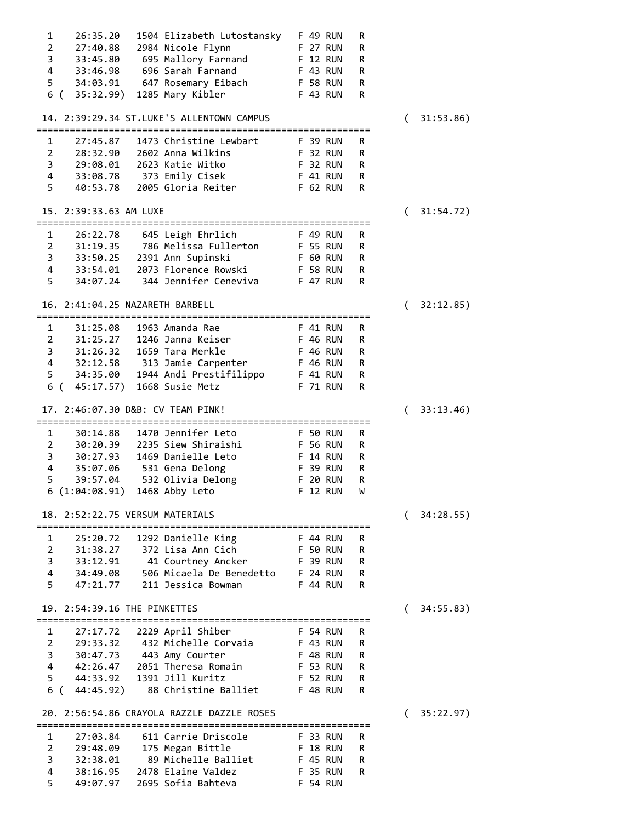| 1              | 26:35.20                               | 1504 Elizabeth Lutostansky F 49 RUN                                           |          |                 | R |          |   |           |
|----------------|----------------------------------------|-------------------------------------------------------------------------------|----------|-----------------|---|----------|---|-----------|
| $\overline{2}$ |                                        | 27:40.88 2984 Nicole Flynn<br><b>F</b> 27 RUN                                 |          |                 | R |          |   |           |
|                |                                        | 3 33:45.80 695 Mallory Farnand F 12 RUN                                       |          |                 | R |          |   |           |
|                |                                        | 4 33:46.98 696 Sarah Farnand<br><b>F</b> 43 RUN                               |          |                 | R |          |   |           |
|                |                                        | 5 34:03.91 647 Rosemary Eibach F 58 RUN                                       |          |                 | R |          |   |           |
|                | 6 (35:32.99) 1285 Mary Kibler          |                                                                               |          | <b>F 43 RUN</b> | R |          |   |           |
|                |                                        | 14. 2:39:29.34 ST.LUKE'S ALLENTOWN CAMPUS                                     |          |                 |   | (        |   | 31:53.86) |
|                |                                        |                                                                               |          |                 |   |          |   |           |
| 1              | 27:45.87                               | 1473 Christine Lewbart                                                        |          | <b>E</b> 39 RUN | R |          |   |           |
| $2^{\circ}$    |                                        | 28:32.90 2602 Anna Wilkins                                                    |          | <b>F 32 RUN</b> | R |          |   |           |
|                |                                        | 3 29:08.01 2623 Katie Witko                                                   |          | <b>F 32 RUN</b> | R |          |   |           |
|                |                                        | 4 33:08.78 373 Emily Cisek                                                    |          | <b>F 41 RUN</b> | R |          |   |           |
| 5              |                                        | 40:53.78 2005 Gloria Reiter F 62 RUN                                          |          |                 | R |          |   |           |
|                | 15. 2:39:33.63 AM LUXE                 |                                                                               |          |                 |   | $\left($ |   | 31:54.72) |
| $\mathbf{1}$   |                                        | 26:22.78 645 Leigh Ehrlich<br><b>E</b> 49 RUN                                 |          |                 | R |          |   |           |
|                |                                        | 2 31:19.35 786 Melissa Fullerton F 55 RUN                                     |          |                 | R |          |   |           |
|                |                                        | 3 33:50.25 2391 Ann Supinski                                                  |          | F 60 RUN        | R |          |   |           |
|                |                                        | 4 33:54.01 2073 Florence Rowski                                               |          | <b>F 58 RUN</b> | R |          |   |           |
| 5              | 34:07.24                               | 344 Jennifer Ceneviva F 47 RUN                                                |          |                 | R |          |   |           |
|                | 16. 2:41:04.25 NAZARETH BARBELL        |                                                                               |          |                 |   | (        |   | 32:12.85) |
|                |                                        |                                                                               |          |                 |   |          |   |           |
| 1              |                                        | 31:25.08  1963  Amanda Rae                                                    |          | <b>F 41 RUN</b> | R |          |   |           |
|                |                                        | 2 31:25.27 1246 Janna Keiser F 46 RUN                                         |          |                 | R |          |   |           |
|                | 3 31:26.32 1659 Tara Merkle            |                                                                               |          | F 46 RUN        | R |          |   |           |
|                |                                        | 4 32:12.58 313 Jamie Carpenter F 46 RUN                                       |          |                 | R |          |   |           |
| $5 -$          |                                        | 34:35.00 1944 Andi Prestifilippo F 41 RUN                                     |          |                 | R |          |   |           |
|                | 6 ( 45:17.57) 1668 Susie Metz          |                                                                               |          | <b>F 71 RUN</b> | R |          |   |           |
|                | 17. 2:46:07.30 D&B: CV TEAM PINK!      |                                                                               |          |                 |   | (        |   | 33:13.46) |
|                |                                        |                                                                               |          |                 |   |          |   |           |
| $\mathbf{1}$   | 30:14.88                               | 1470 Jennifer Leto                                                            |          | <b>F 50 RUN</b> | R |          |   |           |
|                |                                        | 2 30:20.39 2235 Siew Shiraishi F 56 RUN                                       |          |                 | R |          |   |           |
|                |                                        | 3 30:27.93 1469 Danielle Leto F 14 RUN                                        |          |                 | R |          |   |           |
|                | 4 35:07.06 531 Gena Delong             |                                                                               |          | <b>F 39 RUN</b> | R |          |   |           |
| 5              |                                        | 39:57.04 532 Olivia Delong                                                    |          | F 20 RUN        | R |          |   |           |
|                | 6(1:04:08.91)                          | 1468 Abby Leto                                                                |          | F 12 RUN        | W |          |   |           |
|                | 18. 2:52:22.75 VERSUM MATERIALS        |                                                                               |          |                 |   |          | ( | 34:28.55) |
| 1              | 25:20.72                               |                                                                               |          | F 44 RUN        | R |          |   |           |
| 2              | 31:38.27                               | 1292 Danielle King<br>372 Lisa Ann Cich                                       |          | <b>F 50 RUN</b> | R |          |   |           |
| 3              | 33:12.91                               |                                                                               |          | F 39 RUN        | R |          |   |           |
| 4              | 34:49.08                               | 41 Courtney Ancker<br>506 Micaela De Benedetto                                |          | <b>F 24 RUN</b> | R |          |   |           |
| 5              | 47:21.77                               | 211 Jessica Bowman                                                            |          | F 44 RUN        | R |          |   |           |
|                |                                        |                                                                               |          |                 |   |          |   |           |
|                | 19. 2:54:39.16 THE PINKETTES<br>====== |                                                                               |          |                 |   | (        |   | 34:55.83) |
| 1              | 27:17.72                               | 2229 April Shiber                                                             |          | F 54 RUN        | R |          |   |           |
| 2              | 29:33.32                               | 432 Michelle Corvaia                                                          | F 43 RUN |                 | R |          |   |           |
| 3              | 30:47.73                               | 443 Amy Courter                                                               |          | <b>F 48 RUN</b> | R |          |   |           |
| 4              | 42:26.47                               | 2051 Theresa Romain                                                           |          | <b>F 53 RUN</b> | R |          |   |           |
| 5              | 44:33.92                               | 1391 Jill Kuritz                                                              |          | <b>F 52 RUN</b> | R |          |   |           |
|                | 6 ( 44:45.92)                          | 88 Christine Balliet                                                          |          | F 48 RUN        | R |          |   |           |
|                |                                        | 20. 2:56:54.86 CRAYOLA RAZZLE DAZZLE ROSES<br>=============================== |          |                 |   | (        |   | 35:22.97) |
| 1              | 27:03.84                               | 611 Carrie Driscole                                                           |          | <b>F 33 RUN</b> | R |          |   |           |
| $\overline{2}$ | 29:48.09                               | 175 Megan Bittle                                                              |          | <b>F 18 RUN</b> | R |          |   |           |
| 3              | 32:38.01                               | 89 Michelle Balliet                                                           |          | F 45 RUN        | R |          |   |           |
| 4              | 38:16.95                               | 2478 Elaine Valdez                                                            |          | <b>F 35 RUN</b> | R |          |   |           |
| 5              | 49:07.97                               | 2695 Sofia Bahteva                                                            |          | <b>F 54 RUN</b> |   |          |   |           |
|                |                                        |                                                                               |          |                 |   |          |   |           |